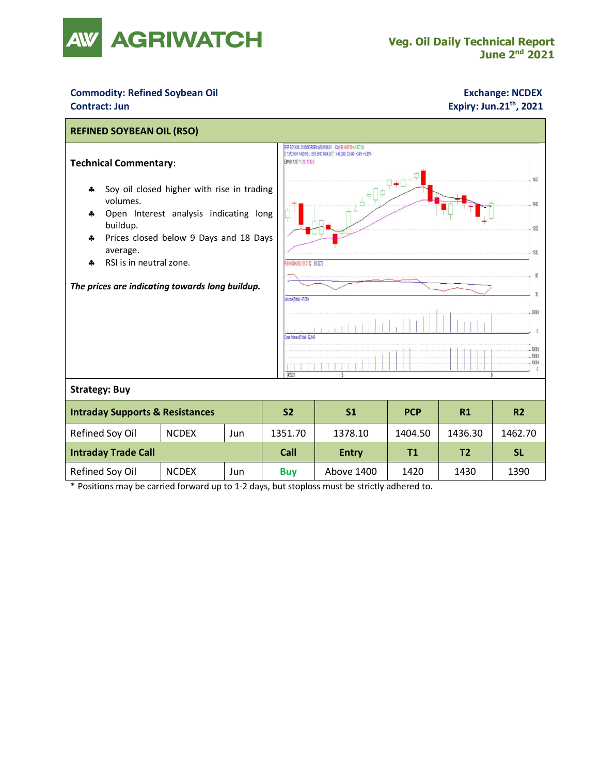

# **Commodity: Refined Soybean Oil <b>Exchange: NCDEX Contract: Jun Expiry: Jun.21<sup>th</sup>, 2021**



\* Positions may be carried forward up to 1-2 days, but stoploss must be strictly adhered to.